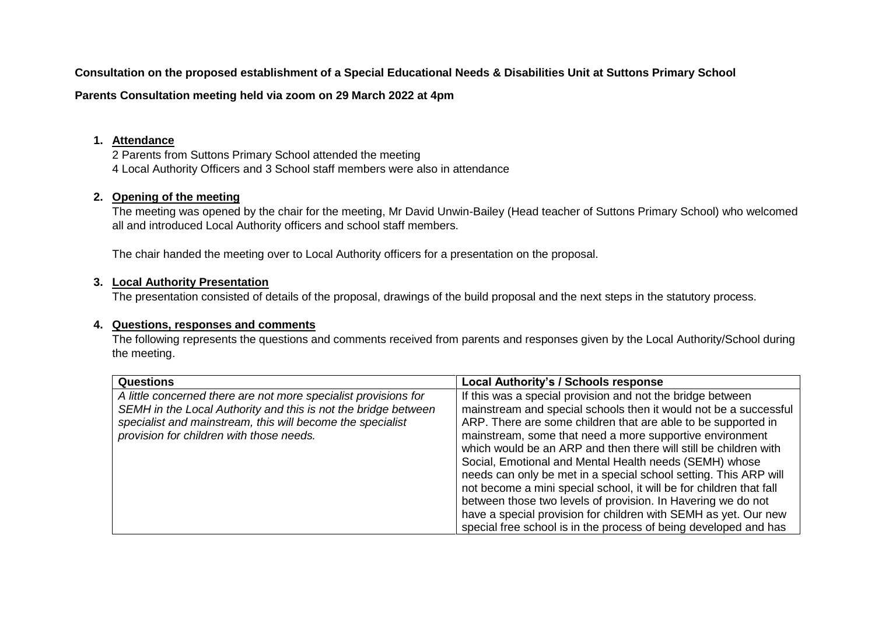**Consultation on the proposed establishment of a Special Educational Needs & Disabilities Unit at Suttons Primary School**

**Parents Consultation meeting held via zoom on 29 March 2022 at 4pm**

### **1. Attendance**

2 Parents from Suttons Primary School attended the meeting 4 Local Authority Officers and 3 School staff members were also in attendance

# **2. Opening of the meeting**

The meeting was opened by the chair for the meeting, Mr David Unwin-Bailey (Head teacher of Suttons Primary School) who welcomed all and introduced Local Authority officers and school staff members.

The chair handed the meeting over to Local Authority officers for a presentation on the proposal.

## **3. Local Authority Presentation**

The presentation consisted of details of the proposal, drawings of the build proposal and the next steps in the statutory process.

## **4. Questions, responses and comments**

The following represents the questions and comments received from parents and responses given by the Local Authority/School during the meeting.

| <b>Questions</b>                                                | <b>Local Authority's / Schools response</b>                         |
|-----------------------------------------------------------------|---------------------------------------------------------------------|
| A little concerned there are not more specialist provisions for | If this was a special provision and not the bridge between          |
| SEMH in the Local Authority and this is not the bridge between  | mainstream and special schools then it would not be a successful    |
| specialist and mainstream, this will become the specialist      | ARP. There are some children that are able to be supported in       |
| provision for children with those needs.                        | mainstream, some that need a more supportive environment            |
|                                                                 | which would be an ARP and then there will still be children with    |
|                                                                 | Social, Emotional and Mental Health needs (SEMH) whose              |
|                                                                 | needs can only be met in a special school setting. This ARP will    |
|                                                                 | not become a mini special school, it will be for children that fall |
|                                                                 | between those two levels of provision. In Havering we do not        |
|                                                                 | have a special provision for children with SEMH as yet. Our new     |
|                                                                 | special free school is in the process of being developed and has    |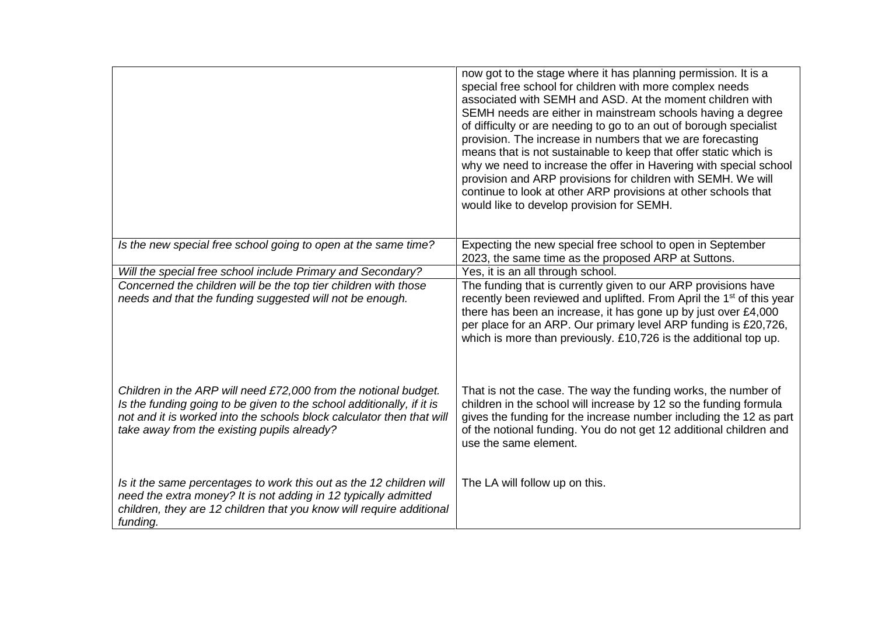|                                                                                                                                                                                                                                                                  | now got to the stage where it has planning permission. It is a<br>special free school for children with more complex needs<br>associated with SEMH and ASD. At the moment children with<br>SEMH needs are either in mainstream schools having a degree<br>of difficulty or are needing to go to an out of borough specialist<br>provision. The increase in numbers that we are forecasting<br>means that is not sustainable to keep that offer static which is<br>why we need to increase the offer in Havering with special school<br>provision and ARP provisions for children with SEMH. We will<br>continue to look at other ARP provisions at other schools that<br>would like to develop provision for SEMH. |
|------------------------------------------------------------------------------------------------------------------------------------------------------------------------------------------------------------------------------------------------------------------|--------------------------------------------------------------------------------------------------------------------------------------------------------------------------------------------------------------------------------------------------------------------------------------------------------------------------------------------------------------------------------------------------------------------------------------------------------------------------------------------------------------------------------------------------------------------------------------------------------------------------------------------------------------------------------------------------------------------|
| Is the new special free school going to open at the same time?                                                                                                                                                                                                   | Expecting the new special free school to open in September<br>2023, the same time as the proposed ARP at Suttons.                                                                                                                                                                                                                                                                                                                                                                                                                                                                                                                                                                                                  |
| Will the special free school include Primary and Secondary?                                                                                                                                                                                                      | Yes, it is an all through school.                                                                                                                                                                                                                                                                                                                                                                                                                                                                                                                                                                                                                                                                                  |
| Concerned the children will be the top tier children with those<br>needs and that the funding suggested will not be enough.                                                                                                                                      | The funding that is currently given to our ARP provisions have<br>recently been reviewed and uplifted. From April the 1 <sup>st</sup> of this year<br>there has been an increase, it has gone up by just over £4,000<br>per place for an ARP. Our primary level ARP funding is £20,726,<br>which is more than previously. £10,726 is the additional top up.                                                                                                                                                                                                                                                                                                                                                        |
| Children in the ARP will need £72,000 from the notional budget.<br>Is the funding going to be given to the school additionally, if it is<br>not and it is worked into the schools block calculator then that will<br>take away from the existing pupils already? | That is not the case. The way the funding works, the number of<br>children in the school will increase by 12 so the funding formula<br>gives the funding for the increase number including the 12 as part<br>of the notional funding. You do not get 12 additional children and<br>use the same element.                                                                                                                                                                                                                                                                                                                                                                                                           |
| Is it the same percentages to work this out as the 12 children will<br>need the extra money? It is not adding in 12 typically admitted<br>children, they are 12 children that you know will require additional<br>funding.                                       | The LA will follow up on this.                                                                                                                                                                                                                                                                                                                                                                                                                                                                                                                                                                                                                                                                                     |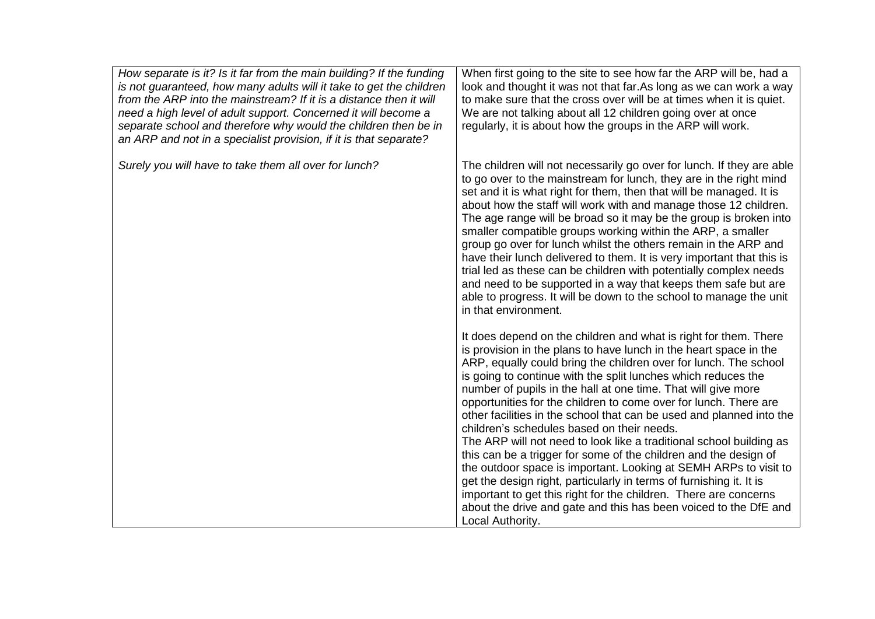| How separate is it? Is it far from the main building? If the funding<br>is not guaranteed, how many adults will it take to get the children<br>from the ARP into the mainstream? If it is a distance then it will<br>need a high level of adult support. Concerned it will become a<br>separate school and therefore why would the children then be in<br>an ARP and not in a specialist provision, if it is that separate? | When first going to the site to see how far the ARP will be, had a<br>look and thought it was not that far. As long as we can work a way<br>to make sure that the cross over will be at times when it is quiet.<br>We are not talking about all 12 children going over at once<br>regularly, it is about how the groups in the ARP will work.                                                                                                                                                                                                                                                                                                                                                                                                                                                                                                                                                                                                                                           |
|-----------------------------------------------------------------------------------------------------------------------------------------------------------------------------------------------------------------------------------------------------------------------------------------------------------------------------------------------------------------------------------------------------------------------------|-----------------------------------------------------------------------------------------------------------------------------------------------------------------------------------------------------------------------------------------------------------------------------------------------------------------------------------------------------------------------------------------------------------------------------------------------------------------------------------------------------------------------------------------------------------------------------------------------------------------------------------------------------------------------------------------------------------------------------------------------------------------------------------------------------------------------------------------------------------------------------------------------------------------------------------------------------------------------------------------|
| Surely you will have to take them all over for lunch?                                                                                                                                                                                                                                                                                                                                                                       | The children will not necessarily go over for lunch. If they are able<br>to go over to the mainstream for lunch, they are in the right mind<br>set and it is what right for them, then that will be managed. It is<br>about how the staff will work with and manage those 12 children.<br>The age range will be broad so it may be the group is broken into<br>smaller compatible groups working within the ARP, a smaller<br>group go over for lunch whilst the others remain in the ARP and<br>have their lunch delivered to them. It is very important that this is<br>trial led as these can be children with potentially complex needs<br>and need to be supported in a way that keeps them safe but are<br>able to progress. It will be down to the school to manage the unit<br>in that environment.                                                                                                                                                                             |
|                                                                                                                                                                                                                                                                                                                                                                                                                             | It does depend on the children and what is right for them. There<br>is provision in the plans to have lunch in the heart space in the<br>ARP, equally could bring the children over for lunch. The school<br>is going to continue with the split lunches which reduces the<br>number of pupils in the hall at one time. That will give more<br>opportunities for the children to come over for lunch. There are<br>other facilities in the school that can be used and planned into the<br>children's schedules based on their needs.<br>The ARP will not need to look like a traditional school building as<br>this can be a trigger for some of the children and the design of<br>the outdoor space is important. Looking at SEMH ARPs to visit to<br>get the design right, particularly in terms of furnishing it. It is<br>important to get this right for the children. There are concerns<br>about the drive and gate and this has been voiced to the DfE and<br>Local Authority. |